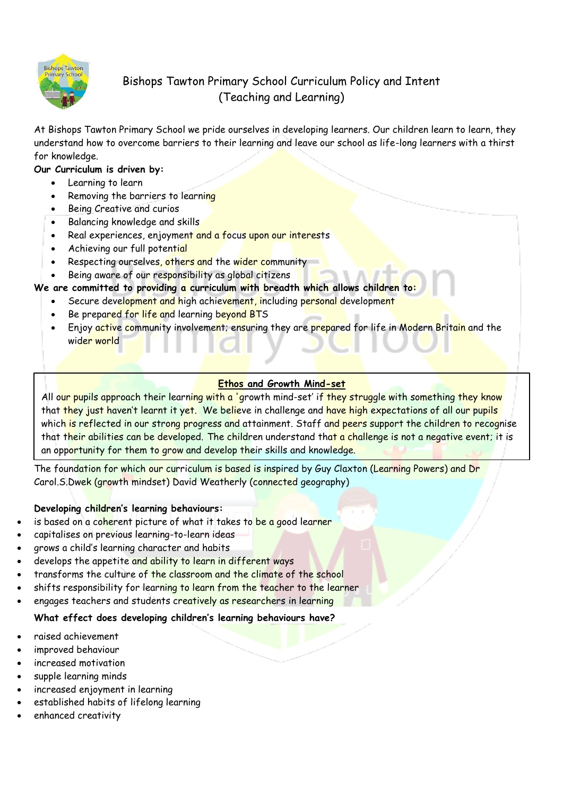

# Bishops Tawton Primary School Curriculum Policy and Intent (Teaching and Learning)

At Bishops Tawton Primary School we pride ourselves in developing learners. Our children learn to learn, they understand how to overcome barriers to their learning and leave our school as life-long learners with a thirst for knowledge.

# **Our Curriculum is driven by:**

- Learning to learn
- Removing the barriers to learning
- Being Creative and curios
- Balancing knowledge and skills
- Real experiences, enjoyment and a focus upon our interests
- Achieving our full potential
- Respecting ourselves, others and the wider community
- Being aware of our responsibility as global citizens

# **We are committed to providing a curriculum with breadth which allows children to:**

- Secure development and high achievement, including personal development
- Be prepared for life and learning beyond BTS
- Enjoy active community involvement; ensuring they are prepared for life in Modern Britain and the wider world

# **Ethos and Growth Mind-set**

All our pupils approach their learning with a 'growth mind-set' if they struggle with something they know that they just haven't learnt it yet. We believe in challenge and have high expectations of all our pupils which is reflected in our strong progress and attainment. Staff and peers support the children to recognise that their abilities can be developed. The children understand that a challenge is not a negative event; it is an opportunity for them to grow and develop their skills and knowledge.

The foundation for which our curriculum is based is inspired by Guy Claxton (Learning Powers) and Dr Carol.S.Dwek (growth mindset) David Weatherly (connected geography)

## **Developing children's learning behaviours:**

- is based on a coherent picture of what it takes to be a good learner
- capitalises on previous learning-to-learn ideas
- grows a child's learning character and habits
- develops the appetite and ability to learn in different ways
- transforms the culture of the classroom and the climate of the school
- shifts responsibility for learning to learn from the teacher to the learner
- engages teachers and students creatively as researchers in learning

# **What effect does developing children's learning behaviours have?**

- raised achievement
- improved behaviour
- increased motivation
- supple learning minds
- increased enjoyment in learning
- established habits of lifelong learning
- enhanced creativity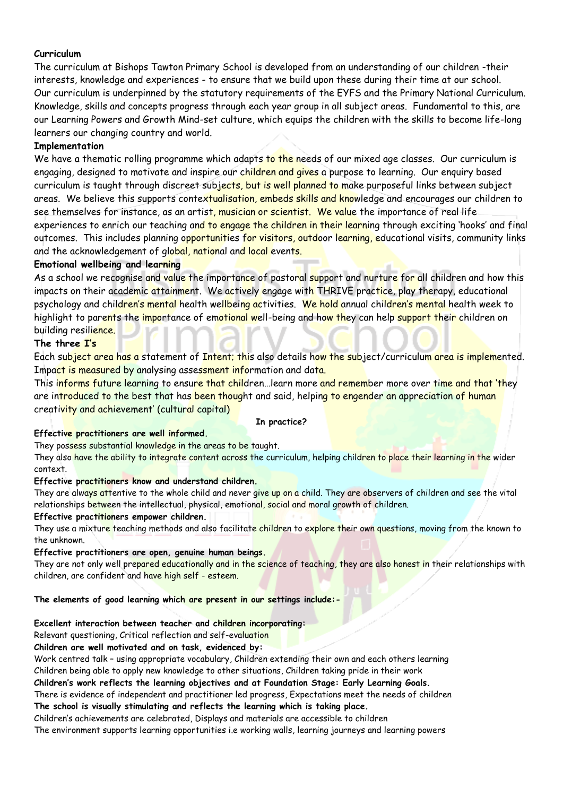### **Curriculum**

The curriculum at Bishops Tawton Primary School is developed from an understanding of our children -their interests, knowledge and experiences - to ensure that we build upon these during their time at our school. Our curriculum is underpinned by the statutory requirements of the EYFS and the Primary National Curriculum. Knowledge, skills and concepts progress through each year group in all subject areas. Fundamental to this, are our Learning Powers and Growth Mind-set culture, which equips the children with the skills to become life-long learners our changing country and world.

## **Implementation**

We have a thematic rolling programme which adapts to the needs of our mixed age classes. Our curriculum is engaging, designed to motivate and inspire our children and gives a purpose to learning. Our enguiry based curriculum is taught through discreet subjects, but is well planned to make purposeful links between subject areas. We believe this supports contextualisation, embeds skills and knowledge and encourages our children to see themselves for instance, as an artist, musician or scientist. We value the importance of real life experiences to enrich our teaching and to engage the children in their learning through exciting 'hooks' and final outcomes. This includes planning opportunities for visitors, outdoor learning, educational visits, community links and the acknowledgement of global, national and local events.

## **Emotional wellbeing and learning**

As a school we recognise and value the importance of pastoral support and nurture for all children and how this impacts on their academic attainment. We actively engage with THRIVE practice, play therapy, educational psychology and children's mental health wellbeing activities. We hold annual children's mental health week to highlight to parents the importance of emotional well-being and how they can help support their children on building resilience.

## **The three I's**

Each subject area has a statement of Intent; this also details how the subject/curriculum area is implemented. Impact is measured by analysing assessment information and data.

This informs future learning to ensure that children...learn more and remember more over time and that 'they are introduced to the best that has been thought and said, helping to engender an appreciation of human creativity and achievement' (cultural capital)

#### **In practice?**

### **Effective practitioners are well informed.**

They possess substantial knowledge in the areas to be taught.

They also have the ability to integrate content across the curriculum, helping children to place their learning in the wider context.

### **Effective practitioners know and understand children.**

They are always attentive to the whole child and never give up on a child. They are observers of children and see the vital relationships between the intellectual, physical, emotional, social and moral growth of children.

### **Effective practitioners empower children.**

They use a mixture teaching methods and also facilitate children to explore their own questions, moving from the known to the unknown.

#### **Effective practitioners are open, genuine human beings.**

They are not only well prepared educationally and in the science of teaching, they are also honest in their relationships with children, are confident and have high self - esteem.

#### **The elements of good learning which are present in our settings include:-**

#### **Excellent interaction between teacher and children incorporating:**

Relevant questioning, Critical reflection and self-evaluation

#### **Children are well motivated and on task, evidenced by:**

Work centred talk – using appropriate vocabulary, Children extending their own and each others learning Children being able to apply new knowledge to other situations, Children taking pride in their work

# **Children's work reflects the learning objectives and at Foundation Stage: Early Learning Goals.**

There is evidence of independent and practitioner led progress, Expectations meet the needs of children

# **The school is visually stimulating and reflects the learning which is taking place.**

Children's achievements are celebrated, Displays and materials are accessible to children

The environment supports learning opportunities i.e working walls, learning journeys and learning powers